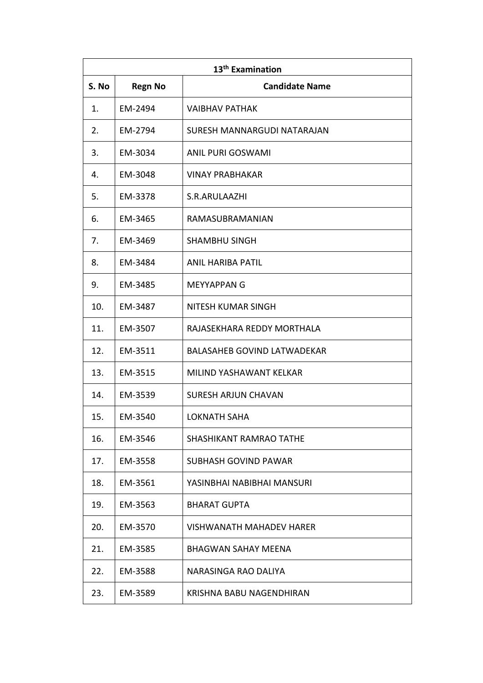| 13 <sup>th</sup> Examination |                |                                    |
|------------------------------|----------------|------------------------------------|
| S. No                        | <b>Regn No</b> | <b>Candidate Name</b>              |
| 1.                           | EM-2494        | <b>VAIBHAV PATHAK</b>              |
| 2.                           | EM-2794        | SURESH MANNARGUDI NATARAJAN        |
| 3.                           | EM-3034        | ANIL PURI GOSWAMI                  |
| 4.                           | EM-3048        | <b>VINAY PRABHAKAR</b>             |
| 5.                           | EM-3378        | S.R.ARULAAZHI                      |
| 6.                           | EM-3465        | RAMASUBRAMANIAN                    |
| 7.                           | EM-3469        | <b>SHAMBHU SINGH</b>               |
| 8.                           | EM-3484        | ANIL HARIBA PATIL                  |
| 9.                           | EM-3485        | <b>MEYYAPPAN G</b>                 |
| 10.                          | EM-3487        | NITESH KUMAR SINGH                 |
| 11.                          | EM-3507        | RAJASEKHARA REDDY MORTHALA         |
| 12.                          | EM-3511        | <b>BALASAHEB GOVIND LATWADEKAR</b> |
| 13.                          | EM-3515        | MILIND YASHAWANT KELKAR            |
| 14.                          | EM-3539        | <b>SURESH ARJUN CHAVAN</b>         |
| 15.                          | EM-3540        | <b>LOKNATH SAHA</b>                |
| 16.                          | EM-3546        | SHASHIKANT RAMRAO TATHE            |
| 17.                          | EM-3558        | SUBHASH GOVIND PAWAR               |
| 18.                          | EM-3561        | YASINBHAI NABIBHAI MANSURI         |
| 19.                          | EM-3563        | <b>BHARAT GUPTA</b>                |
| 20.                          | EM-3570        | VISHWANATH MAHADEV HARER           |
| 21.                          | EM-3585        | <b>BHAGWAN SAHAY MEENA</b>         |
| 22.                          | EM-3588        | NARASINGA RAO DALIYA               |
| 23.                          | EM-3589        | KRISHNA BABU NAGENDHIRAN           |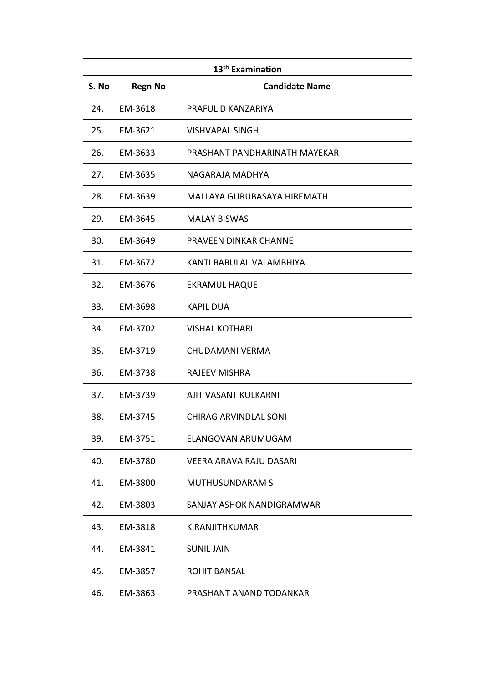| 13 <sup>th</sup> Examination |                |                               |
|------------------------------|----------------|-------------------------------|
| S. No                        | <b>Regn No</b> | <b>Candidate Name</b>         |
| 24.                          | EM-3618        | PRAFUL D KANZARIYA            |
| 25.                          | EM-3621        | <b>VISHVAPAL SINGH</b>        |
| 26.                          | EM-3633        | PRASHANT PANDHARINATH MAYEKAR |
| 27.                          | EM-3635        | NAGARAJA MADHYA               |
| 28.                          | EM-3639        | MALLAYA GURUBASAYA HIREMATH   |
| 29.                          | EM-3645        | <b>MALAY BISWAS</b>           |
| 30.                          | EM-3649        | PRAVEEN DINKAR CHANNE         |
| 31.                          | EM-3672        | KANTI BABULAL VALAMBHIYA      |
| 32.                          | EM-3676        | <b>EKRAMUL HAQUE</b>          |
| 33.                          | EM-3698        | <b>KAPIL DUA</b>              |
| 34.                          | EM-3702        | <b>VISHAL KOTHARI</b>         |
| 35.                          | EM-3719        | CHUDAMANI VERMA               |
| 36.                          | EM-3738        | <b>RAJEEV MISHRA</b>          |
| 37.                          | EM-3739        | AJIT VASANT KULKARNI          |
| 38.                          | EM-3745        | CHIRAG ARVINDLAL SONI         |
| 39.                          | EM-3751        | ELANGOVAN ARUMUGAM            |
| 40.                          | EM-3780        | VEERA ARAVA RAJU DASARI       |
| 41.                          | EM-3800        | <b>MUTHUSUNDARAM S</b>        |
| 42.                          | EM-3803        | SANJAY ASHOK NANDIGRAMWAR     |
| 43.                          | EM-3818        | K.RANJITHKUMAR                |
| 44.                          | EM-3841        | <b>SUNIL JAIN</b>             |
| 45.                          | EM-3857        | ROHIT BANSAL                  |
| 46.                          | EM-3863        | PRASHANT ANAND TODANKAR       |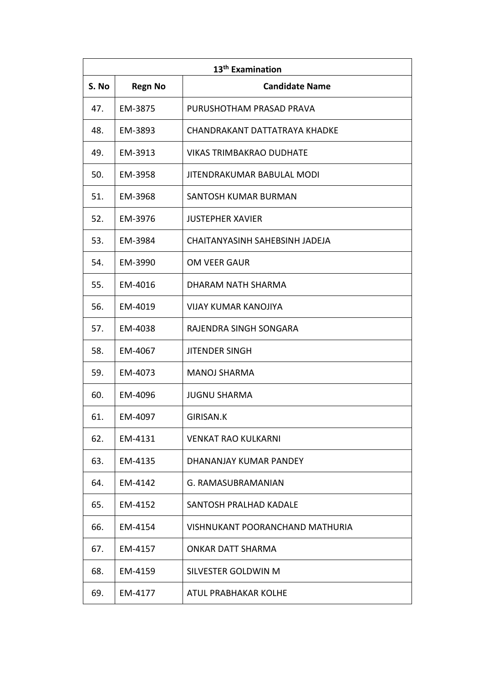| 13 <sup>th</sup> Examination |                |                                 |
|------------------------------|----------------|---------------------------------|
| S. No                        | <b>Regn No</b> | <b>Candidate Name</b>           |
| 47.                          | EM-3875        | PURUSHOTHAM PRASAD PRAVA        |
| 48.                          | EM-3893        | CHANDRAKANT DATTATRAYA KHADKE   |
| 49.                          | EM-3913        | VIKAS TRIMBAKRAO DUDHATE        |
| 50.                          | EM-3958        | JITENDRAKUMAR BABULAL MODI      |
| 51.                          | EM-3968        | SANTOSH KUMAR BURMAN            |
| 52.                          | EM-3976        | <b>JUSTEPHER XAVIER</b>         |
| 53.                          | EM-3984        | CHAITANYASINH SAHEBSINH JADEJA  |
| 54.                          | EM-3990        | OM VEER GAUR                    |
| 55.                          | EM-4016        | DHARAM NATH SHARMA              |
| 56.                          | EM-4019        | VIJAY KUMAR KANOJIYA            |
| 57.                          | EM-4038        | RAJENDRA SINGH SONGARA          |
| 58.                          | EM-4067        | <b>JITENDER SINGH</b>           |
| 59.                          | EM-4073        | <b>MANOJ SHARMA</b>             |
| 60.                          | EM-4096        | <b>JUGNU SHARMA</b>             |
| 61.                          | EM-4097        | GIRISAN.K                       |
| 62.                          | EM-4131        | <b>VENKAT RAO KULKARNI</b>      |
| 63.                          | EM-4135        | DHANANJAY KUMAR PANDEY          |
| 64.                          | EM-4142        | G. RAMASUBRAMANIAN              |
| 65.                          | EM-4152        | SANTOSH PRALHAD KADALE          |
| 66.                          | EM-4154        | VISHNUKANT POORANCHAND MATHURIA |
| 67.                          | EM-4157        | ONKAR DATT SHARMA               |
| 68.                          | EM-4159        | SILVESTER GOLDWIN M             |
| 69.                          | EM-4177        | ATUL PRABHAKAR KOLHE            |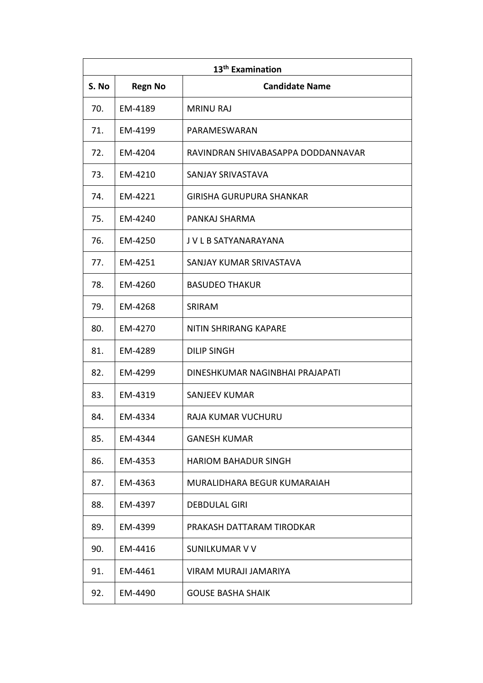| 13 <sup>th</sup> Examination |                |                                    |
|------------------------------|----------------|------------------------------------|
| S. No                        | <b>Regn No</b> | <b>Candidate Name</b>              |
| 70.                          | EM-4189        | <b>MRINU RAJ</b>                   |
| 71.                          | EM-4199        | PARAMESWARAN                       |
| 72.                          | EM-4204        | RAVINDRAN SHIVABASAPPA DODDANNAVAR |
| 73.                          | EM-4210        | SANJAY SRIVASTAVA                  |
| 74.                          | EM-4221        | GIRISHA GURUPURA SHANKAR           |
| 75.                          | EM-4240        | PANKAJ SHARMA                      |
| 76.                          | EM-4250        | J V L B SATYANARAYANA              |
| 77.                          | EM-4251        | SANJAY KUMAR SRIVASTAVA            |
| 78.                          | EM-4260        | <b>BASUDEO THAKUR</b>              |
| 79.                          | EM-4268        | SRIRAM                             |
| 80.                          | EM-4270        | <b>NITIN SHRIRANG KAPARE</b>       |
| 81.                          | EM-4289        | <b>DILIP SINGH</b>                 |
| 82.                          | EM-4299        | DINESHKUMAR NAGINBHAI PRAJAPATI    |
| 83.                          | EM-4319        | <b>SANJEEV KUMAR</b>               |
| 84.                          | EM-4334        | RAJA KUMAR VUCHURU                 |
| 85.                          | EM-4344        | <b>GANESH KUMAR</b>                |
| 86.                          | EM-4353        | <b>HARIOM BAHADUR SINGH</b>        |
| 87.                          | EM-4363        | MURALIDHARA BEGUR KUMARAIAH        |
| 88.                          | EM-4397        | <b>DEBDULAL GIRI</b>               |
| 89.                          | EM-4399        | PRAKASH DATTARAM TIRODKAR          |
| 90.                          | EM-4416        | SUNILKUMAR V V                     |
| 91.                          | EM-4461        | VIRAM MURAJI JAMARIYA              |
| 92.                          | EM-4490        | <b>GOUSE BASHA SHAIK</b>           |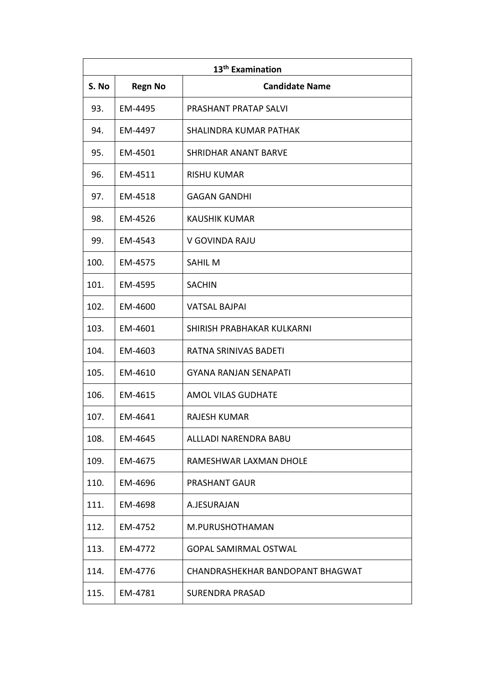| 13 <sup>th</sup> Examination |                |                                  |
|------------------------------|----------------|----------------------------------|
| S. No                        | <b>Regn No</b> | <b>Candidate Name</b>            |
| 93.                          | EM-4495        | PRASHANT PRATAP SALVI            |
| 94.                          | EM-4497        | SHALINDRA KUMAR PATHAK           |
| 95.                          | EM-4501        | <b>SHRIDHAR ANANT BARVE</b>      |
| 96.                          | EM-4511        | <b>RISHU KUMAR</b>               |
| 97.                          | EM-4518        | <b>GAGAN GANDHI</b>              |
| 98.                          | EM-4526        | <b>KAUSHIK KUMAR</b>             |
| 99.                          | EM-4543        | V GOVINDA RAJU                   |
| 100.                         | EM-4575        | <b>SAHILM</b>                    |
| 101.                         | EM-4595        | <b>SACHIN</b>                    |
| 102.                         | EM-4600        | <b>VATSAL BAJPAI</b>             |
| 103.                         | EM-4601        | SHIRISH PRABHAKAR KULKARNI       |
| 104.                         | EM-4603        | RATNA SRINIVAS BADETI            |
| 105.                         | EM-4610        | <b>GYANA RANJAN SENAPATI</b>     |
| 106.                         | EM-4615        | <b>AMOL VILAS GUDHATE</b>        |
| 107.                         | EM-4641        | <b>RAJESH KUMAR</b>              |
| 108.                         | EM-4645        | ALLLADI NARENDRA BABU            |
| 109.                         | EM-4675        | RAMESHWAR LAXMAN DHOLE           |
| 110.                         | EM-4696        | PRASHANT GAUR                    |
| 111.                         | EM-4698        | A.JESURAJAN                      |
| 112.                         | EM-4752        | M.PURUSHOTHAMAN                  |
| 113.                         | EM-4772        | <b>GOPAL SAMIRMAL OSTWAL</b>     |
| 114.                         | EM-4776        | CHANDRASHEKHAR BANDOPANT BHAGWAT |
| 115.                         | EM-4781        | <b>SURENDRA PRASAD</b>           |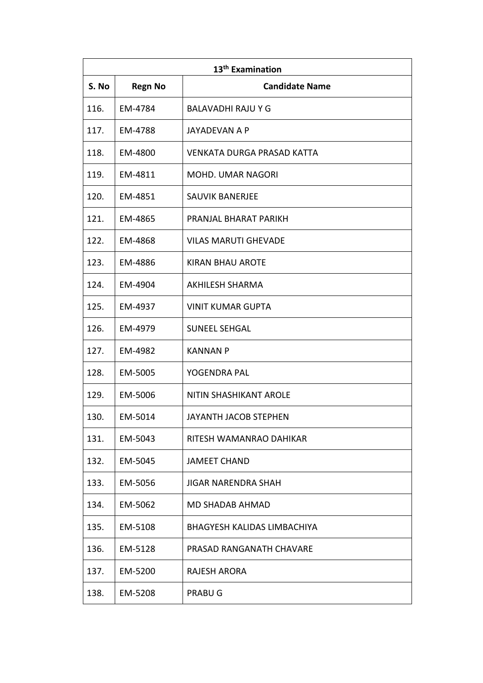| 13 <sup>th</sup> Examination |                |                                    |
|------------------------------|----------------|------------------------------------|
| S. No                        | <b>Regn No</b> | <b>Candidate Name</b>              |
| 116.                         | EM-4784        | BALAVADHI RAJU Y G                 |
| 117.                         | EM-4788        | <b>JAYADEVAN A P</b>               |
| 118.                         | EM-4800        | VENKATA DURGA PRASAD KATTA         |
| 119.                         | EM-4811        | <b>MOHD. UMAR NAGORI</b>           |
| 120.                         | EM-4851        | <b>SAUVIK BANERJEE</b>             |
| 121.                         | EM-4865        | PRANJAL BHARAT PARIKH              |
| 122.                         | EM-4868        | <b>VILAS MARUTI GHEVADE</b>        |
| 123.                         | EM-4886        | <b>KIRAN BHAU AROTE</b>            |
| 124.                         | EM-4904        | <b>AKHILESH SHARMA</b>             |
| 125.                         | EM-4937        | <b>VINIT KUMAR GUPTA</b>           |
| 126.                         | EM-4979        | <b>SUNEEL SEHGAL</b>               |
| 127.                         | EM-4982        | <b>KANNAN P</b>                    |
| 128.                         | EM-5005        | YOGENDRA PAL                       |
| 129.                         | EM-5006        | <b>NITIN SHASHIKANT AROLE</b>      |
| 130.                         | EM-5014        | <b>JAYANTH JACOB STEPHEN</b>       |
| 131.                         | EM-5043        | RITESH WAMANRAO DAHIKAR            |
| 132.                         | EM-5045        | <b>JAMEET CHAND</b>                |
| 133.                         | EM-5056        | <b>JIGAR NARENDRA SHAH</b>         |
| 134.                         | EM-5062        | <b>MD SHADAB AHMAD</b>             |
| 135.                         | EM-5108        | <b>BHAGYESH KALIDAS LIMBACHIYA</b> |
| 136.                         | EM-5128        | PRASAD RANGANATH CHAVARE           |
| 137.                         | EM-5200        | <b>RAJESH ARORA</b>                |
| 138.                         | EM-5208        | <b>PRABUG</b>                      |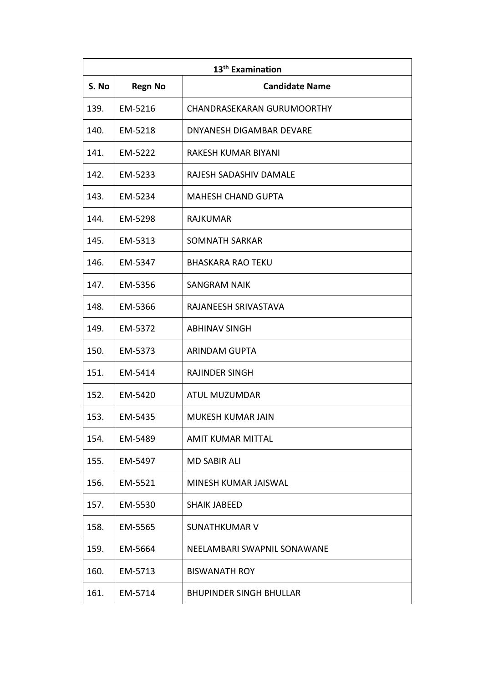| 13 <sup>th</sup> Examination |                |                                   |
|------------------------------|----------------|-----------------------------------|
| S. No                        | <b>Regn No</b> | <b>Candidate Name</b>             |
| 139.                         | EM-5216        | <b>CHANDRASEKARAN GURUMOORTHY</b> |
| 140.                         | EM-5218        | DNYANESH DIGAMBAR DEVARE          |
| 141.                         | EM-5222        | RAKESH KUMAR BIYANI               |
| 142.                         | EM-5233        | RAJESH SADASHIV DAMALE            |
| 143.                         | EM-5234        | <b>MAHESH CHAND GUPTA</b>         |
| 144.                         | EM-5298        | <b>RAJKUMAR</b>                   |
| 145.                         | EM-5313        | <b>SOMNATH SARKAR</b>             |
| 146.                         | EM-5347        | <b>BHASKARA RAO TEKU</b>          |
| 147.                         | EM-5356        | <b>SANGRAM NAIK</b>               |
| 148.                         | EM-5366        | RAJANEESH SRIVASTAVA              |
| 149.                         | EM-5372        | <b>ABHINAV SINGH</b>              |
| 150.                         | EM-5373        | <b>ARINDAM GUPTA</b>              |
| 151.                         | EM-5414        | <b>RAJINDER SINGH</b>             |
| 152.                         | EM-5420        | ATUL MUZUMDAR                     |
| 153.                         | EM-5435        | <b>MUKESH KUMAR JAIN</b>          |
| 154.                         | EM-5489        | <b>AMIT KUMAR MITTAL</b>          |
| 155.                         | EM-5497        | <b>MD SABIR ALI</b>               |
| 156.                         | EM-5521        | MINESH KUMAR JAISWAL              |
| 157.                         | EM-5530        | <b>SHAIK JABEED</b>               |
| 158.                         | EM-5565        | <b>SUNATHKUMAR V</b>              |
| 159.                         | EM-5664        | NEELAMBARI SWAPNIL SONAWANE       |
| 160.                         | EM-5713        | <b>BISWANATH ROY</b>              |
| 161.                         | EM-5714        | <b>BHUPINDER SINGH BHULLAR</b>    |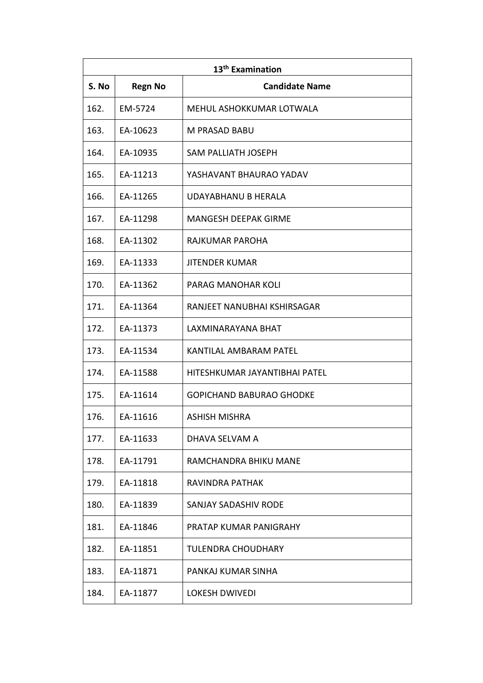| 13 <sup>th</sup> Examination |                |                                 |
|------------------------------|----------------|---------------------------------|
| S. No                        | <b>Regn No</b> | <b>Candidate Name</b>           |
| 162.                         | EM-5724        | MEHUL ASHOKKUMAR LOTWALA        |
| 163.                         | EA-10623       | M PRASAD BABU                   |
| 164.                         | EA-10935       | <b>SAM PALLIATH JOSEPH</b>      |
| 165.                         | EA-11213       | YASHAVANT BHAURAO YADAV         |
| 166.                         | EA-11265       | UDAYABHANU B HERALA             |
| 167.                         | EA-11298       | <b>MANGESH DEEPAK GIRME</b>     |
| 168.                         | EA-11302       | RAJKUMAR PAROHA                 |
| 169.                         | EA-11333       | <b>JITENDER KUMAR</b>           |
| 170.                         | EA-11362       | PARAG MANOHAR KOLI              |
| 171.                         | EA-11364       | RANJEET NANUBHAI KSHIRSAGAR     |
| 172.                         | EA-11373       | LAXMINARAYANA BHAT              |
| 173.                         | EA-11534       | KANTILAL AMBARAM PATEL          |
| 174.                         | EA-11588       | HITESHKUMAR JAYANTIBHAI PATEL   |
| 175.                         | EA-11614       | <b>GOPICHAND BABURAO GHODKE</b> |
| 176.                         | EA-11616       | ASHISH MISHRA                   |
| 177.                         | EA-11633       | DHAVA SELVAM A                  |
| 178.                         | EA-11791       | RAMCHANDRA BHIKU MANE           |
| 179.                         | EA-11818       | RAVINDRA PATHAK                 |
| 180.                         | EA-11839       | <b>SANJAY SADASHIV RODE</b>     |
| 181.                         | EA-11846       | PRATAP KUMAR PANIGRAHY          |
| 182.                         | EA-11851       | <b>TULENDRA CHOUDHARY</b>       |
| 183.                         | EA-11871       | PANKAJ KUMAR SINHA              |
| 184.                         | EA-11877       | LOKESH DWIVEDI                  |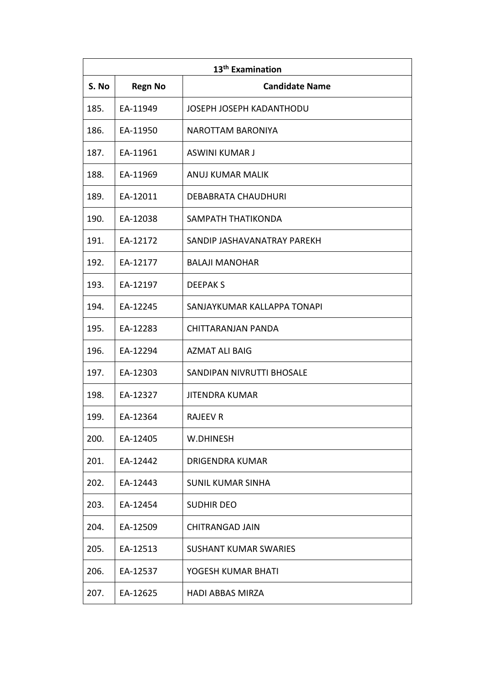| 13 <sup>th</sup> Examination |                |                              |
|------------------------------|----------------|------------------------------|
| S. No                        | <b>Regn No</b> | <b>Candidate Name</b>        |
| 185.                         | EA-11949       | JOSEPH JOSEPH KADANTHODU     |
| 186.                         | EA-11950       | NAROTTAM BARONIYA            |
| 187.                         | EA-11961       | ASWINI KUMAR J               |
| 188.                         | EA-11969       | ANUJ KUMAR MALIK             |
| 189.                         | EA-12011       | DEBABRATA CHAUDHURI          |
| 190.                         | EA-12038       | SAMPATH THATIKONDA           |
| 191.                         | EA-12172       | SANDIP JASHAVANATRAY PAREKH  |
| 192.                         | EA-12177       | <b>BALAJI MANOHAR</b>        |
| 193.                         | EA-12197       | <b>DEEPAKS</b>               |
| 194.                         | EA-12245       | SANJAYKUMAR KALLAPPA TONAPI  |
| 195.                         | EA-12283       | CHITTARANJAN PANDA           |
| 196.                         | EA-12294       | <b>AZMAT ALI BAIG</b>        |
| 197.                         | EA-12303       | SANDIPAN NIVRUTTI BHOSALE    |
| 198.                         | EA-12327       | <b>JITENDRA KUMAR</b>        |
| 199.                         | EA-12364       | <b>RAJEEV R</b>              |
| 200.                         | EA-12405       | W.DHINESH                    |
| 201.                         | EA-12442       | DRIGENDRA KUMAR              |
| 202.                         | EA-12443       | <b>SUNIL KUMAR SINHA</b>     |
| 203.                         | EA-12454       | <b>SUDHIR DEO</b>            |
| 204.                         | EA-12509       | <b>CHITRANGAD JAIN</b>       |
| 205.                         | EA-12513       | <b>SUSHANT KUMAR SWARIES</b> |
| 206.                         | EA-12537       | YOGESH KUMAR BHATI           |
| 207.                         | EA-12625       | <b>HADI ABBAS MIRZA</b>      |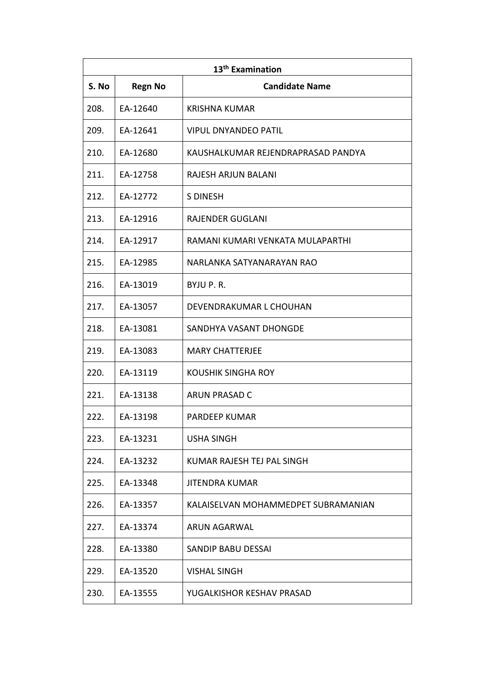| 13 <sup>th</sup> Examination |                |                                     |
|------------------------------|----------------|-------------------------------------|
| S. No                        | <b>Regn No</b> | <b>Candidate Name</b>               |
| 208.                         | EA-12640       | <b>KRISHNA KUMAR</b>                |
| 209.                         | EA-12641       | <b>VIPUL DNYANDEO PATIL</b>         |
| 210.                         | EA-12680       | KAUSHALKUMAR REJENDRAPRASAD PANDYA  |
| 211.                         | EA-12758       | RAJESH ARJUN BALANI                 |
| 212.                         | EA-12772       | <b>S DINESH</b>                     |
| 213.                         | EA-12916       | <b>RAJENDER GUGLANI</b>             |
| 214.                         | EA-12917       | RAMANI KUMARI VENKATA MULAPARTHI    |
| 215.                         | EA-12985       | NARLANKA SATYANARAYAN RAO           |
| 216.                         | EA-13019       | BYJU P.R.                           |
| 217.                         | EA-13057       | DEVENDRAKUMAR L CHOUHAN             |
| 218.                         | EA-13081       | SANDHYA VASANT DHONGDE              |
| 219.                         | EA-13083       | <b>MARY CHATTERJEE</b>              |
| 220.                         | EA-13119       | KOUSHIK SINGHA ROY                  |
| 221.                         | EA-13138       | ARUN PRASAD C                       |
| 222.                         | EA-13198       | PARDEEP KUMAR                       |
| 223.                         | EA-13231       | <b>USHA SINGH</b>                   |
| 224.                         | EA-13232       | KUMAR RAJESH TEJ PAL SINGH          |
| 225.                         | EA-13348       | <b>JITENDRA KUMAR</b>               |
| 226.                         | EA-13357       | KALAISELVAN MOHAMMEDPET SUBRAMANIAN |
| 227.                         | EA-13374       | ARUN AGARWAL                        |
| 228.                         | EA-13380       | SANDIP BABU DESSAI                  |
| 229.                         | EA-13520       | <b>VISHAL SINGH</b>                 |
| 230.                         | EA-13555       | YUGALKISHOR KESHAV PRASAD           |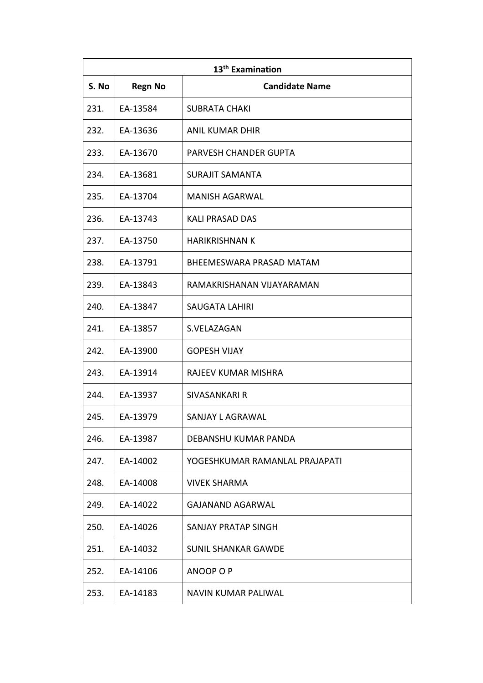| 13 <sup>th</sup> Examination |                |                                |
|------------------------------|----------------|--------------------------------|
| S. No                        | <b>Regn No</b> | <b>Candidate Name</b>          |
| 231.                         | EA-13584       | <b>SUBRATA CHAKI</b>           |
| 232.                         | EA-13636       | <b>ANIL KUMAR DHIR</b>         |
| 233.                         | EA-13670       | PARVESH CHANDER GUPTA          |
| 234.                         | EA-13681       | <b>SURAJIT SAMANTA</b>         |
| 235.                         | EA-13704       | <b>MANISH AGARWAL</b>          |
| 236.                         | EA-13743       | <b>KALI PRASAD DAS</b>         |
| 237.                         | EA-13750       | <b>HARIKRISHNAN K</b>          |
| 238.                         | EA-13791       | BHEEMESWARA PRASAD MATAM       |
| 239.                         | EA-13843       | RAMAKRISHANAN VIJAYARAMAN      |
| 240.                         | EA-13847       | <b>SAUGATA LAHIRI</b>          |
| 241.                         | EA-13857       | S.VELAZAGAN                    |
| 242.                         | EA-13900       | <b>GOPESH VIJAY</b>            |
| 243.                         | EA-13914       | RAJEEV KUMAR MISHRA            |
| 244.                         | EA-13937       | <b>SIVASANKARI R</b>           |
| 245.                         | EA-13979       | SANJAY L AGRAWAL               |
| 246.                         | EA-13987       | DEBANSHU KUMAR PANDA           |
| 247.                         | EA-14002       | YOGESHKUMAR RAMANLAL PRAJAPATI |
| 248.                         | EA-14008       | <b>VIVEK SHARMA</b>            |
| 249.                         | EA-14022       | <b>GAJANAND AGARWAL</b>        |
| 250.                         | EA-14026       | SANJAY PRATAP SINGH            |
| 251.                         | EA-14032       | <b>SUNIL SHANKAR GAWDE</b>     |
| 252.                         | EA-14106       | ANOOP O P                      |
| 253.                         | EA-14183       | NAVIN KUMAR PALIWAL            |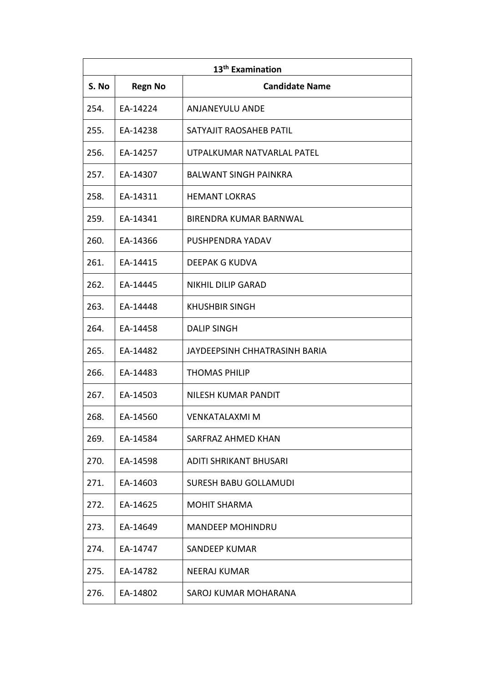| 13 <sup>th</sup> Examination |                |                               |
|------------------------------|----------------|-------------------------------|
| S. No                        | <b>Regn No</b> | <b>Candidate Name</b>         |
| 254.                         | EA-14224       | <b>ANJANEYULU ANDE</b>        |
| 255.                         | EA-14238       | SATYAJIT RAOSAHEB PATIL       |
| 256.                         | EA-14257       | UTPALKUMAR NATVARLAL PATEL    |
| 257.                         | EA-14307       | <b>BALWANT SINGH PAINKRA</b>  |
| 258.                         | EA-14311       | <b>HEMANT LOKRAS</b>          |
| 259.                         | EA-14341       | BIRENDRA KUMAR BARNWAL        |
| 260.                         | EA-14366       | PUSHPENDRA YADAV              |
| 261.                         | EA-14415       | DEEPAK G KUDVA                |
| 262.                         | EA-14445       | <b>NIKHIL DILIP GARAD</b>     |
| 263.                         | EA-14448       | <b>KHUSHBIR SINGH</b>         |
| 264.                         | EA-14458       | <b>DALIP SINGH</b>            |
| 265.                         | EA-14482       | JAYDEEPSINH CHHATRASINH BARIA |
| 266.                         | EA-14483       | <b>THOMAS PHILIP</b>          |
| 267.                         | EA-14503       | <b>NILESH KUMAR PANDIT</b>    |
| 268.                         | EA-14560       | <b>VENKATALAXMI M</b>         |
| 269.                         | EA-14584       | SARFRAZ AHMED KHAN            |
| 270.                         | EA-14598       | ADITI SHRIKANT BHUSARI        |
| 271.                         | EA-14603       | SURESH BABU GOLLAMUDI         |
| 272.                         | EA-14625       | <b>MOHIT SHARMA</b>           |
| 273.                         | EA-14649       | <b>MANDEEP MOHINDRU</b>       |
| 274.                         | EA-14747       | SANDEEP KUMAR                 |
| 275.                         | EA-14782       | NEERAJ KUMAR                  |
| 276.                         | EA-14802       | SAROJ KUMAR MOHARANA          |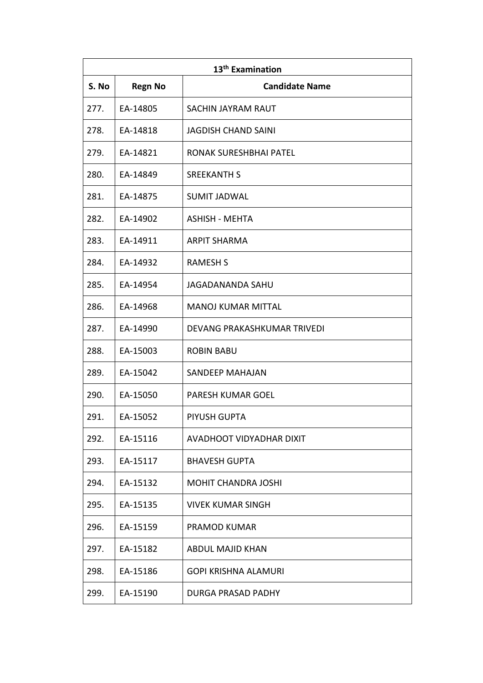| 13 <sup>th</sup> Examination |                |                             |  |
|------------------------------|----------------|-----------------------------|--|
| S. No                        | <b>Regn No</b> | <b>Candidate Name</b>       |  |
| 277.                         | EA-14805       | <b>SACHIN JAYRAM RAUT</b>   |  |
| 278.                         | EA-14818       | <b>JAGDISH CHAND SAINI</b>  |  |
| 279.                         | EA-14821       | RONAK SURESHBHAI PATEL      |  |
| 280.                         | EA-14849       | <b>SREEKANTH S</b>          |  |
| 281.                         | EA-14875       | <b>SUMIT JADWAL</b>         |  |
| 282.                         | EA-14902       | <b>ASHISH - MEHTA</b>       |  |
| 283.                         | EA-14911       | <b>ARPIT SHARMA</b>         |  |
| 284.                         | EA-14932       | <b>RAMESH S</b>             |  |
| 285.                         | EA-14954       | <b>JAGADANANDA SAHU</b>     |  |
| 286.                         | EA-14968       | <b>MANOJ KUMAR MITTAL</b>   |  |
| 287.                         | EA-14990       | DEVANG PRAKASHKUMAR TRIVEDI |  |
| 288.                         | EA-15003       | <b>ROBIN BABU</b>           |  |
| 289.                         | EA-15042       | SANDEEP MAHAJAN             |  |
| 290.                         | EA-15050       | <b>PARESH KUMAR GOEL</b>    |  |
| 291.                         | EA-15052       | PIYUSH GUPTA                |  |
| 292.                         | EA-15116       | AVADHOOT VIDYADHAR DIXIT    |  |
| 293.                         | EA-15117       | <b>BHAVESH GUPTA</b>        |  |
| 294.                         | EA-15132       | <b>MOHIT CHANDRA JOSHI</b>  |  |
| 295.                         | EA-15135       | <b>VIVEK KUMAR SINGH</b>    |  |
| 296.                         | EA-15159       | <b>PRAMOD KUMAR</b>         |  |
| 297.                         | EA-15182       | ABDUL MAJID KHAN            |  |
| 298.                         | EA-15186       | <b>GOPI KRISHNA ALAMURI</b> |  |
| 299.                         | EA-15190       | DURGA PRASAD PADHY          |  |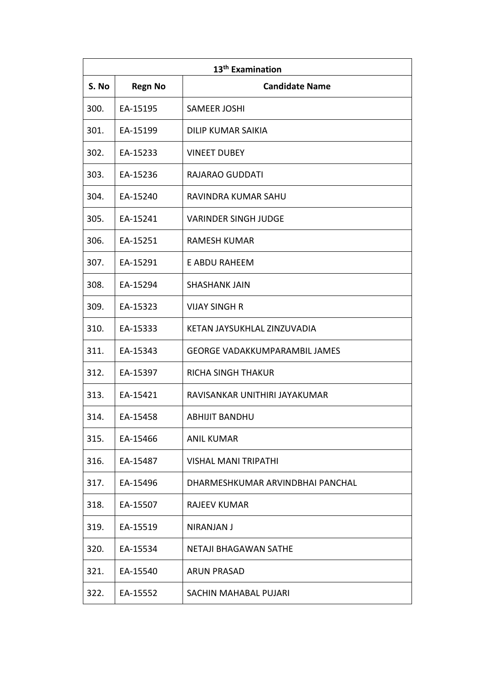| 13 <sup>th</sup> Examination |                |                                      |  |
|------------------------------|----------------|--------------------------------------|--|
| S. No                        | <b>Regn No</b> | <b>Candidate Name</b>                |  |
| 300.                         | EA-15195       | <b>SAMEER JOSHI</b>                  |  |
| 301.                         | EA-15199       | <b>DILIP KUMAR SAIKIA</b>            |  |
| 302.                         | EA-15233       | <b>VINEET DUBEY</b>                  |  |
| 303.                         | EA-15236       | RAJARAO GUDDATI                      |  |
| 304.                         | EA-15240       | RAVINDRA KUMAR SAHU                  |  |
| 305.                         | EA-15241       | <b>VARINDER SINGH JUDGE</b>          |  |
| 306.                         | EA-15251       | <b>RAMESH KUMAR</b>                  |  |
| 307.                         | EA-15291       | <b>E ABDU RAHEEM</b>                 |  |
| 308.                         | EA-15294       | <b>SHASHANK JAIN</b>                 |  |
| 309.                         | EA-15323       | <b>VIJAY SINGH R</b>                 |  |
| 310.                         | EA-15333       | KETAN JAYSUKHLAL ZINZUVADIA          |  |
| 311.                         | EA-15343       | <b>GEORGE VADAKKUMPARAMBIL JAMES</b> |  |
| 312.                         | EA-15397       | <b>RICHA SINGH THAKUR</b>            |  |
| 313.                         | EA-15421       | RAVISANKAR UNITHIRI JAYAKUMAR        |  |
| 314.                         | EA-15458       | <b>ABHIJIT BANDHU</b>                |  |
| 315.                         | EA-15466       | <b>ANIL KUMAR</b>                    |  |
| 316.                         | EA-15487       | <b>VISHAL MANI TRIPATHI</b>          |  |
| 317.                         | EA-15496       | DHARMESHKUMAR ARVINDBHAI PANCHAL     |  |
| 318.                         | EA-15507       | RAJEEV KUMAR                         |  |
| 319.                         | EA-15519       | NIRANJAN J                           |  |
| 320.                         | EA-15534       | NETAJI BHAGAWAN SATHE                |  |
| 321.                         | EA-15540       | <b>ARUN PRASAD</b>                   |  |
| 322.                         | EA-15552       | SACHIN MAHABAL PUJARI                |  |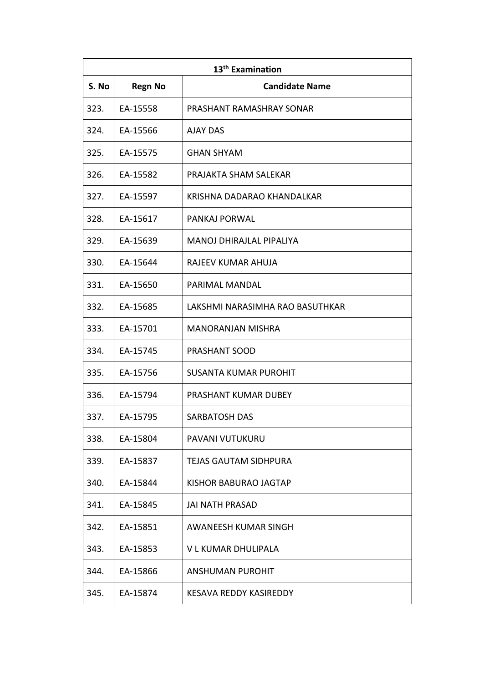| 13 <sup>th</sup> Examination |                |                                 |
|------------------------------|----------------|---------------------------------|
| S. No                        | <b>Regn No</b> | <b>Candidate Name</b>           |
| 323.                         | EA-15558       | PRASHANT RAMASHRAY SONAR        |
| 324.                         | EA-15566       | <b>AJAY DAS</b>                 |
| 325.                         | EA-15575       | <b>GHAN SHYAM</b>               |
| 326.                         | EA-15582       | PRAJAKTA SHAM SALEKAR           |
| 327.                         | EA-15597       | KRISHNA DADARAO KHANDALKAR      |
| 328.                         | EA-15617       | PANKAJ PORWAL                   |
| 329.                         | EA-15639       | <b>MANOJ DHIRAJLAL PIPALIYA</b> |
| 330.                         | EA-15644       | RAJEEV KUMAR AHUJA              |
| 331.                         | EA-15650       | PARIMAL MANDAL                  |
| 332.                         | EA-15685       | LAKSHMI NARASIMHA RAO BASUTHKAR |
| 333.                         | EA-15701       | <b>MANORANJAN MISHRA</b>        |
| 334.                         | EA-15745       | <b>PRASHANT SOOD</b>            |
| 335.                         | EA-15756       | SUSANTA KUMAR PUROHIT           |
| 336.                         | EA-15794       | <b>PRASHANT KUMAR DUBEY</b>     |
| 337.                         | EA-15795       | <b>SARBATOSH DAS</b>            |
| 338.                         | EA-15804       | PAVANI VUTUKURU                 |
| 339.                         | EA-15837       | TEJAS GAUTAM SIDHPURA           |
| 340.                         | EA-15844       | KISHOR BABURAO JAGTAP           |
| 341.                         | EA-15845       | <b>JAI NATH PRASAD</b>          |
| 342.                         | EA-15851       | AWANEESH KUMAR SINGH            |
| 343.                         | EA-15853       | V L KUMAR DHULIPALA             |
| 344.                         | EA-15866       | ANSHUMAN PUROHIT                |
| 345.                         | EA-15874       | KESAVA REDDY KASIREDDY          |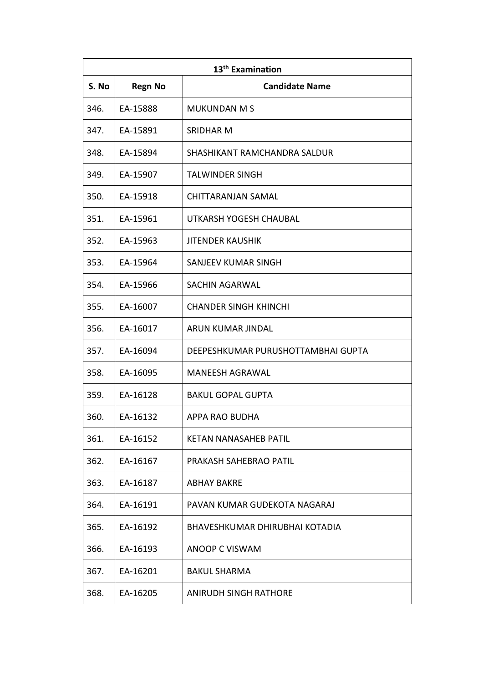| 13 <sup>th</sup> Examination |                |                                    |
|------------------------------|----------------|------------------------------------|
| S. No                        | <b>Regn No</b> | <b>Candidate Name</b>              |
| 346.                         | EA-15888       | <b>MUKUNDAN M S</b>                |
| 347.                         | EA-15891       | <b>SRIDHAR M</b>                   |
| 348.                         | EA-15894       | SHASHIKANT RAMCHANDRA SALDUR       |
| 349.                         | EA-15907       | <b>TALWINDER SINGH</b>             |
| 350.                         | EA-15918       | CHITTARANJAN SAMAL                 |
| 351.                         | EA-15961       | UTKARSH YOGESH CHAUBAL             |
| 352.                         | EA-15963       | <b>JITENDER KAUSHIK</b>            |
| 353.                         | EA-15964       | <b>SANJEEV KUMAR SINGH</b>         |
| 354.                         | EA-15966       | SACHIN AGARWAL                     |
| 355.                         | EA-16007       | <b>CHANDER SINGH KHINCHI</b>       |
| 356.                         | EA-16017       | ARUN KUMAR JINDAL                  |
| 357.                         | EA-16094       | DEEPESHKUMAR PURUSHOTTAMBHAI GUPTA |
| 358.                         | EA-16095       | <b>MANEESH AGRAWAL</b>             |
| 359.                         | EA-16128       | <b>BAKUL GOPAL GUPTA</b>           |
| 360.                         | EA-16132       | APPA RAO BUDHA                     |
| 361.                         | EA-16152       | <b>KETAN NANASAHEB PATIL</b>       |
| 362.                         | EA-16167       | PRAKASH SAHEBRAO PATIL             |
| 363.                         | EA-16187       | <b>ABHAY BAKRE</b>                 |
| 364.                         | EA-16191       | PAVAN KUMAR GUDEKOTA NAGARAJ       |
| 365.                         | EA-16192       | BHAVESHKUMAR DHIRUBHAI KOTADIA     |
| 366.                         | EA-16193       | ANOOP C VISWAM                     |
| 367.                         | EA-16201       | <b>BAKUL SHARMA</b>                |
| 368.                         | EA-16205       | ANIRUDH SINGH RATHORE              |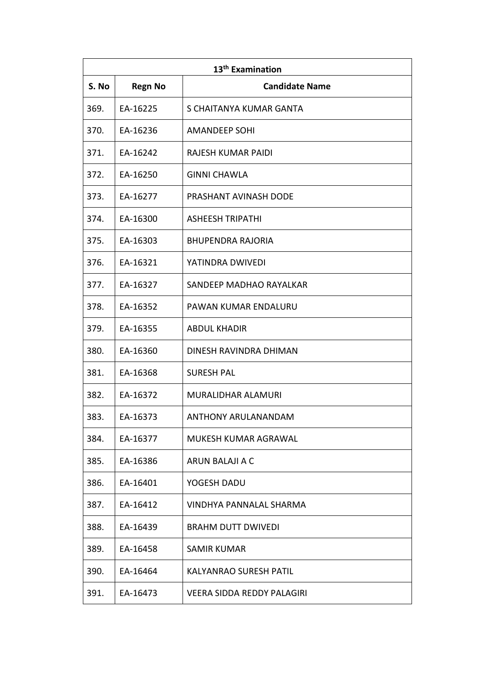| 13 <sup>th</sup> Examination |                |                                   |
|------------------------------|----------------|-----------------------------------|
| S. No                        | <b>Regn No</b> | <b>Candidate Name</b>             |
| 369.                         | EA-16225       | S CHAITANYA KUMAR GANTA           |
| 370.                         | EA-16236       | <b>AMANDEEP SOHI</b>              |
| 371.                         | EA-16242       | RAJESH KUMAR PAIDI                |
| 372.                         | EA-16250       | <b>GINNI CHAWLA</b>               |
| 373.                         | EA-16277       | PRASHANT AVINASH DODE             |
| 374.                         | EA-16300       | <b>ASHEESH TRIPATHI</b>           |
| 375.                         | EA-16303       | <b>BHUPENDRA RAJORIA</b>          |
| 376.                         | EA-16321       | YATINDRA DWIVEDI                  |
| 377.                         | EA-16327       | SANDEEP MADHAO RAYALKAR           |
| 378.                         | EA-16352       | PAWAN KUMAR ENDALURU              |
| 379.                         | EA-16355       | <b>ABDUL KHADIR</b>               |
| 380.                         | EA-16360       | DINESH RAVINDRA DHIMAN            |
| 381.                         | EA-16368       | <b>SURESH PAL</b>                 |
| 382.                         | EA-16372       | MURALIDHAR ALAMURI                |
| 383.                         | EA-16373       | ANTHONY ARULANANDAM               |
| 384.                         | EA-16377       | MUKESH KUMAR AGRAWAL              |
| 385.                         | EA-16386       | ARUN BALAJI A C                   |
| 386.                         | EA-16401       | YOGESH DADU                       |
| 387.                         | EA-16412       | <b>VINDHYA PANNALAL SHARMA</b>    |
| 388.                         | EA-16439       | <b>BRAHM DUTT DWIVEDI</b>         |
| 389.                         | EA-16458       | <b>SAMIR KUMAR</b>                |
| 390.                         | EA-16464       | <b>KALYANRAO SURESH PATIL</b>     |
| 391.                         | EA-16473       | <b>VEERA SIDDA REDDY PALAGIRI</b> |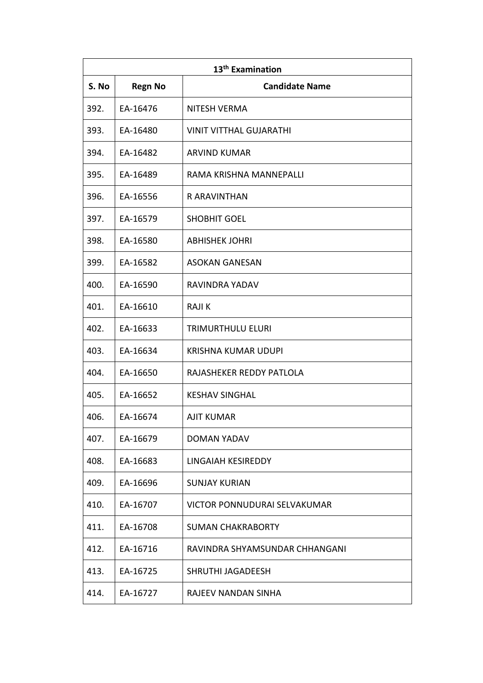| 13 <sup>th</sup> Examination |                |                                |  |
|------------------------------|----------------|--------------------------------|--|
| S. No                        | <b>Regn No</b> | <b>Candidate Name</b>          |  |
| 392.                         | EA-16476       | <b>NITESH VERMA</b>            |  |
| 393.                         | EA-16480       | <b>VINIT VITTHAL GUJARATHI</b> |  |
| 394.                         | EA-16482       | ARVIND KUMAR                   |  |
| 395.                         | EA-16489       | RAMA KRISHNA MANNEPALLI        |  |
| 396.                         | EA-16556       | R ARAVINTHAN                   |  |
| 397.                         | EA-16579       | <b>SHOBHIT GOEL</b>            |  |
| 398.                         | EA-16580       | <b>ABHISHEK JOHRI</b>          |  |
| 399.                         | EA-16582       | <b>ASOKAN GANESAN</b>          |  |
| 400.                         | EA-16590       | RAVINDRA YADAV                 |  |
| 401.                         | EA-16610       | <b>RAJIK</b>                   |  |
| 402.                         | EA-16633       | TRIMURTHULU ELURI              |  |
| 403.                         | EA-16634       | <b>KRISHNA KUMAR UDUPI</b>     |  |
| 404.                         | EA-16650       | RAJASHEKER REDDY PATLOLA       |  |
| 405.                         | EA-16652       | <b>KESHAV SINGHAL</b>          |  |
| 406.                         | EA-16674       | AJIT KUMAR                     |  |
| 407.                         | EA-16679       | <b>DOMAN YADAV</b>             |  |
| 408.                         | EA-16683       | LINGAIAH KESIREDDY             |  |
| 409.                         | EA-16696       | <b>SUNJAY KURIAN</b>           |  |
| 410.                         | EA-16707       | VICTOR PONNUDURAI SELVAKUMAR   |  |
| 411.                         | EA-16708       | <b>SUMAN CHAKRABORTY</b>       |  |
| 412.                         | EA-16716       | RAVINDRA SHYAMSUNDAR CHHANGANI |  |
| 413.                         | EA-16725       | SHRUTHI JAGADEESH              |  |
| 414.                         | EA-16727       | RAJEEV NANDAN SINHA            |  |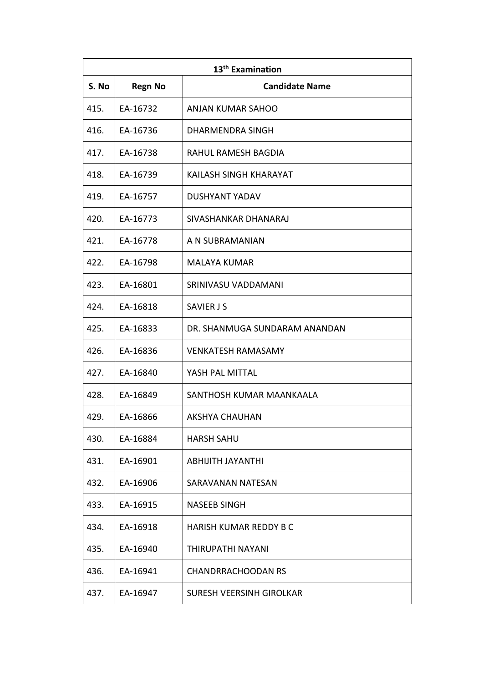| 13 <sup>th</sup> Examination |                |                               |  |
|------------------------------|----------------|-------------------------------|--|
| S. No                        | <b>Regn No</b> | <b>Candidate Name</b>         |  |
| 415.                         | EA-16732       | ANJAN KUMAR SAHOO             |  |
| 416.                         | EA-16736       | <b>DHARMENDRA SINGH</b>       |  |
| 417.                         | EA-16738       | RAHUL RAMESH BAGDIA           |  |
| 418.                         | EA-16739       | KAILASH SINGH KHARAYAT        |  |
| 419.                         | EA-16757       | DUSHYANT YADAV                |  |
| 420.                         | EA-16773       | SIVASHANKAR DHANARAJ          |  |
| 421.                         | EA-16778       | A N SUBRAMANIAN               |  |
| 422.                         | EA-16798       | MALAYA KUMAR                  |  |
| 423.                         | EA-16801       | SRINIVASU VADDAMANI           |  |
| 424.                         | EA-16818       | <b>SAVIER J S</b>             |  |
| 425.                         | EA-16833       | DR. SHANMUGA SUNDARAM ANANDAN |  |
| 426.                         | EA-16836       | <b>VENKATESH RAMASAMY</b>     |  |
| 427.                         | EA-16840       | YASH PAL MITTAL               |  |
| 428.                         | EA-16849       | SANTHOSH KUMAR MAANKAALA      |  |
| 429.                         | EA-16866       | AKSHYA CHAUHAN                |  |
| 430.                         | EA-16884       | <b>HARSH SAHU</b>             |  |
| 431.                         | EA-16901       | ABHIJITH JAYANTHI             |  |
| 432.                         | EA-16906       | SARAVANAN NATESAN             |  |
| 433.                         | EA-16915       | <b>NASEEB SINGH</b>           |  |
| 434.                         | EA-16918       | <b>HARISH KUMAR REDDY B C</b> |  |
| 435.                         | EA-16940       | THIRUPATHI NAYANI             |  |
| 436.                         | EA-16941       | <b>CHANDRRACHOODAN RS</b>     |  |
| 437.                         | EA-16947       | SURESH VEERSINH GIROLKAR      |  |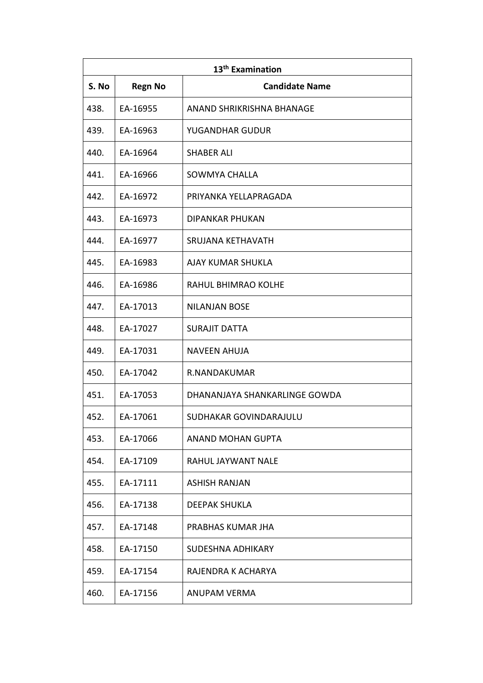| 13 <sup>th</sup> Examination |                |                               |
|------------------------------|----------------|-------------------------------|
| S. No                        | <b>Regn No</b> | <b>Candidate Name</b>         |
| 438.                         | EA-16955       | ANAND SHRIKRISHNA BHANAGE     |
| 439.                         | EA-16963       | YUGANDHAR GUDUR               |
| 440.                         | EA-16964       | <b>SHABER ALI</b>             |
| 441.                         | EA-16966       | SOWMYA CHALLA                 |
| 442.                         | EA-16972       | PRIYANKA YELLAPRAGADA         |
| 443.                         | EA-16973       | DIPANKAR PHUKAN               |
| 444.                         | EA-16977       | SRUJANA KETHAVATH             |
| 445.                         | EA-16983       | AJAY KUMAR SHUKLA             |
| 446.                         | EA-16986       | <b>RAHUL BHIMRAO KOLHE</b>    |
| 447.                         | EA-17013       | <b>NILANJAN BOSE</b>          |
| 448.                         | EA-17027       | <b>SURAJIT DATTA</b>          |
| 449.                         | EA-17031       | <b>NAVEEN AHUJA</b>           |
| 450.                         | EA-17042       | R.NANDAKUMAR                  |
| 451.                         | EA-17053       | DHANANJAYA SHANKARLINGE GOWDA |
| 452.                         | EA-17061       | SUDHAKAR GOVINDARAJULU        |
| 453.                         | EA-17066       | <b>ANAND MOHAN GUPTA</b>      |
| 454.                         | EA-17109       | RAHUL JAYWANT NALE            |
| 455.                         | EA-17111       | <b>ASHISH RANJAN</b>          |
| 456.                         | EA-17138       | <b>DEEPAK SHUKLA</b>          |
| 457.                         | EA-17148       | PRABHAS KUMAR JHA             |
| 458.                         | EA-17150       | SUDESHNA ADHIKARY             |
| 459.                         | EA-17154       | RAJENDRA K ACHARYA            |
| 460.                         | EA-17156       | ANUPAM VERMA                  |